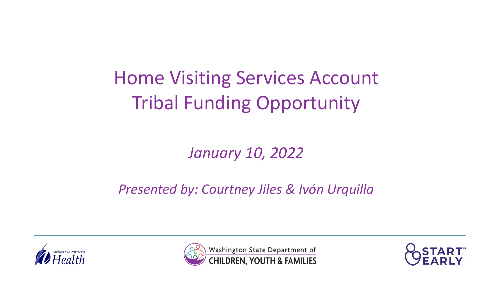## Home Visiting Services Account Tribal Funding Opportunity

### *January 10, 2022*

### *Presented by: Courtney Jiles & Ivón Urquilla*





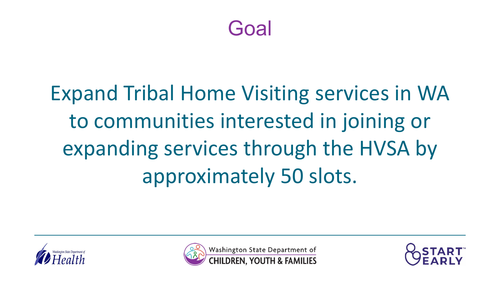Goal

# Expand Tribal Home Visiting services in WA to communities interested in joining or expanding services through the HVSA by approximately 50 slots.





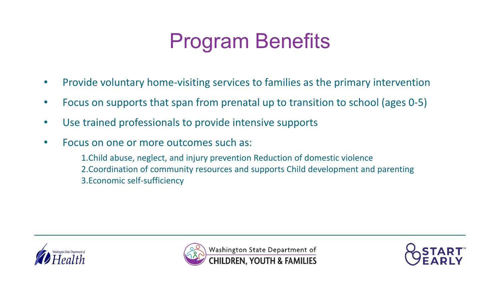### Program Benefits

- Provide voluntary home-visiting services to families as the primary intervention
- Focus on supports that span from prenatal up to transition to school (ages 0-5)
- Use trained professionals to provide intensive supports
- Focus on one or more outcomes such as:

1.Child abuse, neglect, and injury prevention Reduction of domestic violence 2.Coordination of community resources and supports Child development and parenting 3.Economic self-sufficiency





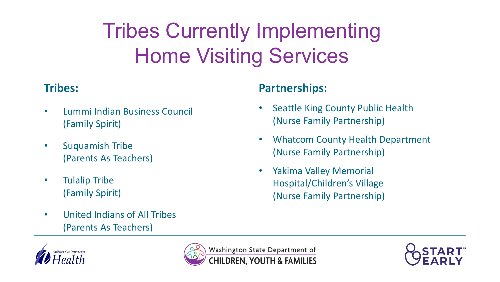# Tribes Currently Implementing Home Visiting Services

#### **Tribes:**

- Lummi Indian Business Council (Family Spirit)
- Suquamish Tribe (Parents As Teachers)
- Tulalip Tribe (Family Spirit)
- United Indians of All Tribes (Parents As Teachers)

#### **Partnerships:**

- Seattle King County Public Health (Nurse Family Partnership)
- Whatcom County Health Department (Nurse Family Partnership)
- Yakima Valley Memorial Hospital/Children's Village (Nurse Family Partnership)





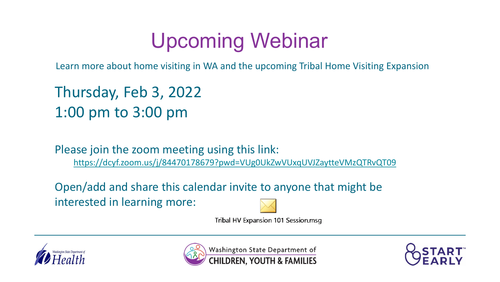### Upcoming Webinar

Learn more about home visiting in WA and the upcoming Tribal Home Visiting Expansion

Thursday, Feb 3, 2022 1:00 pm to 3:00 pm

Please join the zoom meeting using this link: <https://dcyf.zoom.us/j/84470178679?pwd=VUg0UkZwVUxqUVJZaytteVMzQTRvQT09>

Open/add and share this calendar invite to anyone that might be interested in learning more:



Tribal HV Expansion 101 Session.msg





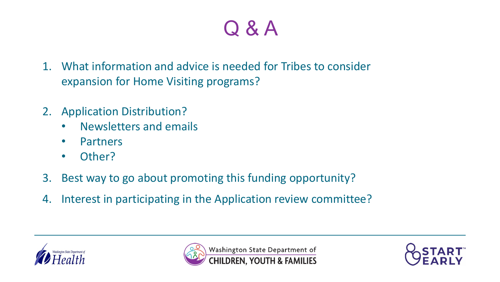## Q & A

- 1. What information and advice is needed for Tribes to consider expansion for Home Visiting programs?
- 2. Application Distribution?
	- Newsletters and emails
	- Partners
	- Other?
- 3. Best way to go about promoting this funding opportunity?
- 4. Interest in participating in the Application review committee?